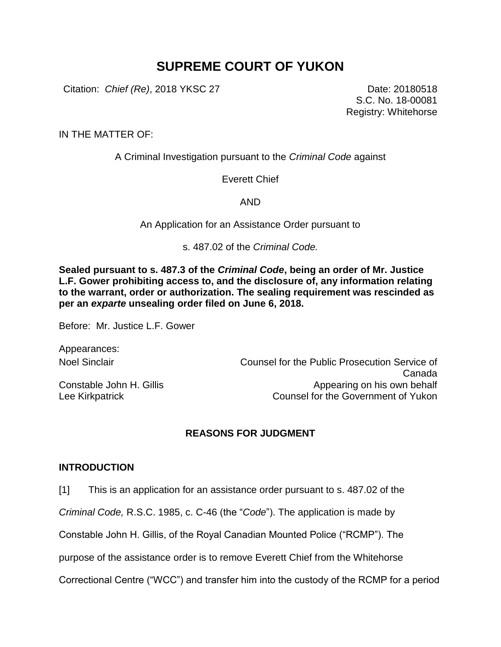# **SUPREME COURT OF YUKON**

Citation: *Chief (Re)*, 2018 YKSC 27 Date: 20180518

S.C. No. 18-00081 Registry: Whitehorse

IN THE MATTER OF:

A Criminal Investigation pursuant to the *Criminal Code* against

Everett Chief

AND

An Application for an Assistance Order pursuant to

s. 487.02 of the *Criminal Code.*

**Sealed pursuant to s. 487.3 of the** *Criminal Code***, being an order of Mr. Justice L.F. Gower prohibiting access to, and the disclosure of, any information relating to the warrant, order or authorization. The sealing requirement was rescinded as per an** *exparte* **unsealing order filed on June 6, 2018.**

Before: Mr. Justice L.F. Gower

Appearances:

Constable John H. Gillis Lee Kirkpatrick

Noel Sinclair Counsel for the Public Prosecution Service of Canada Appearing on his own behalf Counsel for the Government of Yukon

# **REASONS FOR JUDGMENT**

## **INTRODUCTION**

[1] This is an application for an assistance order pursuant to s. 487.02 of the

*Criminal Code,* R.S.C. 1985, c. C-46 (the "*Code*"). The application is made by

Constable John H. Gillis, of the Royal Canadian Mounted Police ("RCMP"). The

purpose of the assistance order is to remove Everett Chief from the Whitehorse

Correctional Centre ("WCC") and transfer him into the custody of the RCMP for a period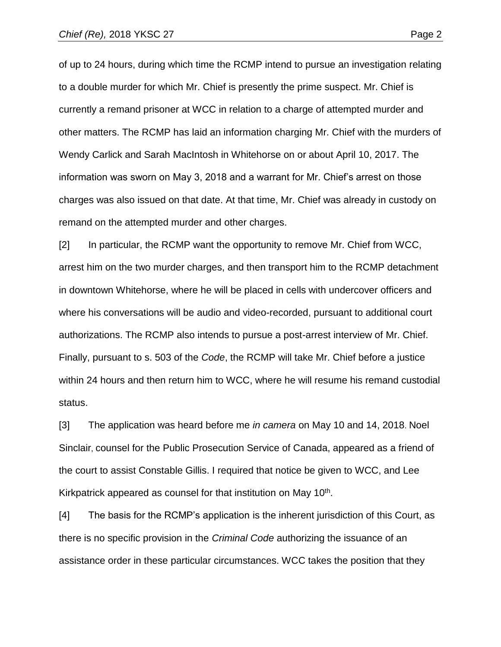of up to 24 hours, during which time the RCMP intend to pursue an investigation relating to a double murder for which Mr. Chief is presently the prime suspect. Mr. Chief is currently a remand prisoner at WCC in relation to a charge of attempted murder and other matters. The RCMP has laid an information charging Mr. Chief with the murders of Wendy Carlick and Sarah MacIntosh in Whitehorse on or about April 10, 2017. The information was sworn on May 3, 2018 and a warrant for Mr. Chief's arrest on those charges was also issued on that date. At that time, Mr. Chief was already in custody on remand on the attempted murder and other charges.

[2] In particular, the RCMP want the opportunity to remove Mr. Chief from WCC, arrest him on the two murder charges, and then transport him to the RCMP detachment in downtown Whitehorse, where he will be placed in cells with undercover officers and where his conversations will be audio and video-recorded, pursuant to additional court authorizations. The RCMP also intends to pursue a post-arrest interview of Mr. Chief. Finally, pursuant to s. 503 of the *Code*, the RCMP will take Mr. Chief before a justice within 24 hours and then return him to WCC, where he will resume his remand custodial status.

[3] The application was heard before me *in camera* on May 10 and 14, 2018. Noel Sinclair, counsel for the Public Prosecution Service of Canada, appeared as a friend of the court to assist Constable Gillis. I required that notice be given to WCC, and Lee Kirkpatrick appeared as counsel for that institution on May 10<sup>th</sup>.

[4] The basis for the RCMP's application is the inherent jurisdiction of this Court, as there is no specific provision in the *Criminal Code* authorizing the issuance of an assistance order in these particular circumstances. WCC takes the position that they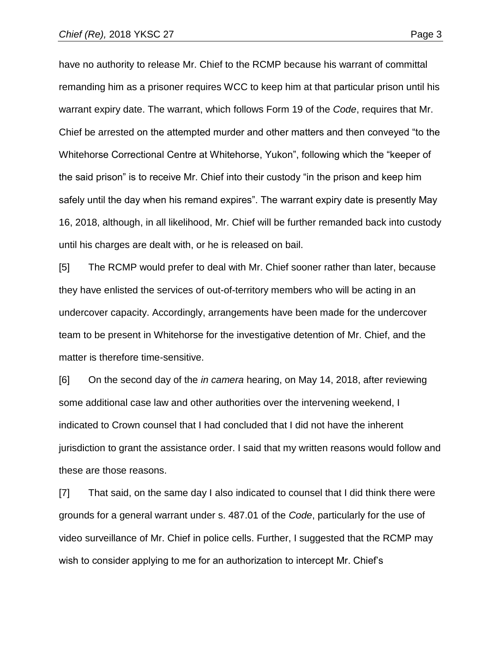have no authority to release Mr. Chief to the RCMP because his warrant of committal remanding him as a prisoner requires WCC to keep him at that particular prison until his warrant expiry date. The warrant, which follows Form 19 of the *Code*, requires that Mr. Chief be arrested on the attempted murder and other matters and then conveyed "to the Whitehorse Correctional Centre at Whitehorse, Yukon", following which the "keeper of the said prison" is to receive Mr. Chief into their custody "in the prison and keep him safely until the day when his remand expires". The warrant expiry date is presently May 16, 2018, although, in all likelihood, Mr. Chief will be further remanded back into custody until his charges are dealt with, or he is released on bail.

[5] The RCMP would prefer to deal with Mr. Chief sooner rather than later, because they have enlisted the services of out-of-territory members who will be acting in an undercover capacity. Accordingly, arrangements have been made for the undercover team to be present in Whitehorse for the investigative detention of Mr. Chief, and the matter is therefore time-sensitive.

[6] On the second day of the *in camera* hearing, on May 14, 2018, after reviewing some additional case law and other authorities over the intervening weekend, I indicated to Crown counsel that I had concluded that I did not have the inherent jurisdiction to grant the assistance order. I said that my written reasons would follow and these are those reasons.

[7] That said, on the same day I also indicated to counsel that I did think there were grounds for a general warrant under s. 487.01 of the *Code*, particularly for the use of video surveillance of Mr. Chief in police cells. Further, I suggested that the RCMP may wish to consider applying to me for an authorization to intercept Mr. Chief's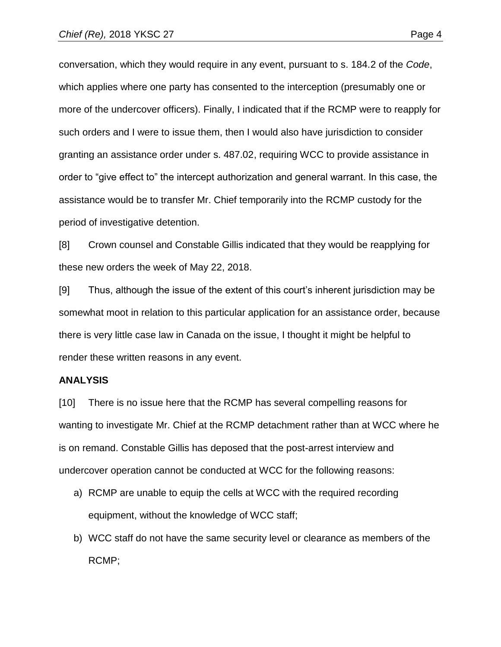conversation, which they would require in any event, pursuant to s. 184.2 of the *Code*, which applies where one party has consented to the interception (presumably one or more of the undercover officers). Finally, I indicated that if the RCMP were to reapply for such orders and I were to issue them, then I would also have jurisdiction to consider granting an assistance order under s. 487.02, requiring WCC to provide assistance in order to "give effect to" the intercept authorization and general warrant. In this case, the assistance would be to transfer Mr. Chief temporarily into the RCMP custody for the period of investigative detention.

[8] Crown counsel and Constable Gillis indicated that they would be reapplying for these new orders the week of May 22, 2018.

[9] Thus, although the issue of the extent of this court's inherent jurisdiction may be somewhat moot in relation to this particular application for an assistance order, because there is very little case law in Canada on the issue, I thought it might be helpful to render these written reasons in any event.

#### **ANALYSIS**

[10] There is no issue here that the RCMP has several compelling reasons for wanting to investigate Mr. Chief at the RCMP detachment rather than at WCC where he is on remand. Constable Gillis has deposed that the post-arrest interview and undercover operation cannot be conducted at WCC for the following reasons:

- a) RCMP are unable to equip the cells at WCC with the required recording equipment, without the knowledge of WCC staff;
- b) WCC staff do not have the same security level or clearance as members of the RCMP;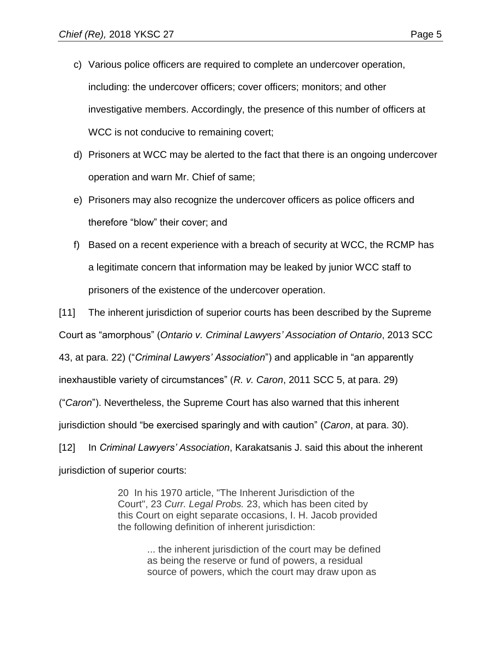- c) Various police officers are required to complete an undercover operation, including: the undercover officers; cover officers; monitors; and other investigative members. Accordingly, the presence of this number of officers at WCC is not conducive to remaining covert;
- d) Prisoners at WCC may be alerted to the fact that there is an ongoing undercover operation and warn Mr. Chief of same;
- e) Prisoners may also recognize the undercover officers as police officers and therefore "blow" their cover; and
- f) Based on a recent experience with a breach of security at WCC, the RCMP has a legitimate concern that information may be leaked by junior WCC staff to prisoners of the existence of the undercover operation.

[11] The inherent jurisdiction of superior courts has been described by the Supreme Court as "amorphous" (*Ontario v. Criminal Lawyers' Association of Ontario*, 2013 SCC 43, at para. 22) ("*Criminal Lawyers' Association*") and applicable in "an apparently inexhaustible variety of circumstances" (*R. v. Caron*, 2011 SCC 5, at para. 29) ("*Caron*"). Nevertheless, the Supreme Court has also warned that this inherent jurisdiction should "be exercised sparingly and with caution" (*Caron*, at para. 30). [12] In *Criminal Lawyers' Association*, Karakatsanis J. said this about the inherent

jurisdiction of superior courts:

20 In his 1970 article, "The Inherent Jurisdiction of the Court", 23 *Curr. Legal Probs.* 23, which has been cited by this Court on eight separate occasions, I. H. Jacob provided the following definition of inherent jurisdiction:

> ... the inherent jurisdiction of the court may be defined as being the reserve or fund of powers, a residual source of powers, which the court may draw upon as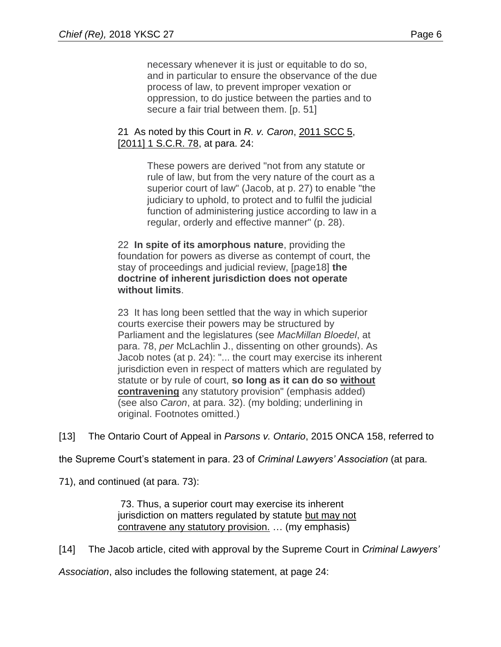necessary whenever it is just or equitable to do so, and in particular to ensure the observance of the due process of law, to prevent improper vexation or oppression, to do justice between the parties and to secure a fair trial between them. [p. 51]

## 21 As noted by this Court in *R. v. Caron*, [2011 SCC 5,](https://advance.lexis.com/search/?pdmfid=1505209&crid=8c21a380-9579-456b-9896-d169945ad7fe&pdsearchterms=2013scc43&pdicsfeatureid=1517129&pdstartin=hlct%3A1%3A11&pdtypeofsearch=searchboxclick&pdsearchtype=SearchBox&pdqttype=and&pdpsf=%3A%3A1&ecomp=44gt9kk&earg=pdpsf&prid=c47e603d-5e86-4230-a5bb-8fb62ae1abd1) [\[2011\] 1 S.C.R. 78,](https://advance.lexis.com/search/?pdmfid=1505209&crid=8c21a380-9579-456b-9896-d169945ad7fe&pdsearchterms=2013scc43&pdicsfeatureid=1517129&pdstartin=hlct%3A1%3A11&pdtypeofsearch=searchboxclick&pdsearchtype=SearchBox&pdqttype=and&pdpsf=%3A%3A1&ecomp=44gt9kk&earg=pdpsf&prid=c47e603d-5e86-4230-a5bb-8fb62ae1abd1) at para. 24:

These powers are derived "not from any statute or rule of law, but from the very nature of the court as a superior court of law" (Jacob, at p. 27) to enable "the judiciary to uphold, to protect and to fulfil the judicial function of administering justice according to law in a regular, orderly and effective manner" (p. 28).

22 **In spite of its amorphous nature**, providing the foundation for powers as diverse as contempt of court, the stay of proceedings and judicial review, [page18] **the doctrine of inherent jurisdiction does not operate without limits**.

23 It has long been settled that the way in which superior courts exercise their powers may be structured by Parliament and the legislatures (see *MacMillan Bloedel*, at para. 78, *per* McLachlin J., dissenting on other grounds). As Jacob notes (at p. 24): "... the court may exercise its inherent jurisdiction even in respect of matters which are regulated by statute or by rule of court, **so long as it can do so without contravening** any statutory provision" (emphasis added) (see also *Caron*, at para. 32). (my bolding; underlining in original. Footnotes omitted.)

[13] The Ontario Court of Appeal in *Parsons v. Ontario*, 2015 ONCA 158, referred to

the Supreme Court's statement in para. 23 of *Criminal Lawyers' Association* (at para.

71), and continued (at para. 73):

73. Thus, a superior court may exercise its inherent jurisdiction on matters regulated by statute but may not contravene any statutory provision. … (my emphasis)

[14] The Jacob article, cited with approval by the Supreme Court in *Criminal Lawyers'*

*Association*, also includes the following statement, at page 24: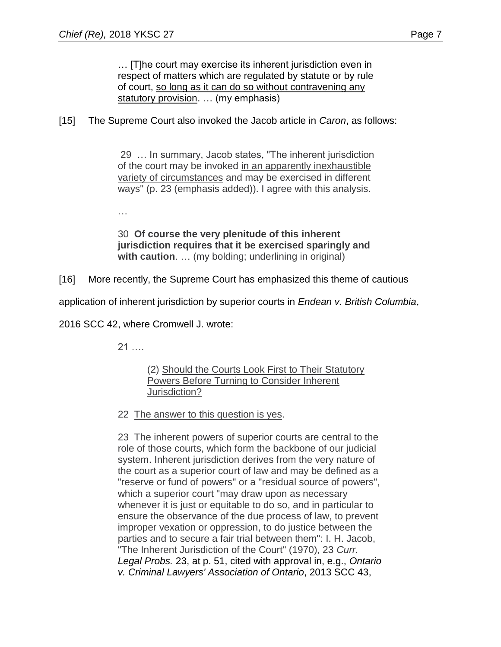… [T]he court may exercise its inherent jurisdiction even in respect of matters which are regulated by statute or by rule of court, so long as it can do so without contravening any statutory provision. ... (my emphasis)

# [15] The Supreme Court also invoked the Jacob article in *Caron*, as follows:

29 … In summary, Jacob states, "The inherent jurisdiction of the court may be invoked in an apparently inexhaustible variety of circumstances and may be exercised in different ways" (p. 23 (emphasis added)). I agree with this analysis.

…

30 **Of course the very plenitude of this inherent jurisdiction requires that it be exercised sparingly and with caution**. … (my bolding; underlining in original)

[16] More recently, the Supreme Court has emphasized this theme of cautious

application of inherent jurisdiction by superior courts in *Endean v. British Columbia*,

2016 SCC 42, where Cromwell J. wrote:

21 ….

(2) Should the Courts Look First to Their Statutory Powers Before Turning to Consider Inherent Jurisdiction?

22 The answer to this question is yes.

23 The inherent powers of superior courts are central to the role of those courts, which form the backbone of our judicial system. Inherent jurisdiction derives from the very nature of the court as a superior court of law and may be defined as a "reserve or fund of powers" or a "residual source of powers", which a superior court "may draw upon as necessary whenever it is just or equitable to do so, and in particular to ensure the observance of the due process of law, to prevent improper vexation or oppression, to do justice between the parties and to secure a fair trial between them": I. H. Jacob, "The Inherent Jurisdiction of the Court" (1970), 23 *Curr. Legal Probs.* 23, at p. 51, cited with approval in, e.g., *Ontario v. Criminal Lawyers' Association of Ontario*, [2013 SCC 43,](https://advance.lexis.com/search/?pdmfid=1505209&crid=79bac913-7dec-422b-ba2a-ac5761dd525e&pdsearchterms=2016+SCC+42&pdicsfeatureid=1517129&pdstartin=hlct%3A1%3A11&pdtypeofsearch=searchboxclick&pdsearchtype=SearchBox&pdqttype=and&pdsf=&pdquerytemplateid=urn%3Aquerytemplate%3A0153d253286523974b56391686dcfd8e~%5ELaw%2520Reviews%2520%2526%2520Journals&pdsourcetype=all&pdparentqt=urn%3Aquerytemplate%3A0153d253286523974b56391686dcfd8e~%5ELaw+Reviews+%26+Journals&ecomp=44gtkkk&earg=pdsf&prid=59ce015c-f8b0-4f06-925a-a204cb28b19a)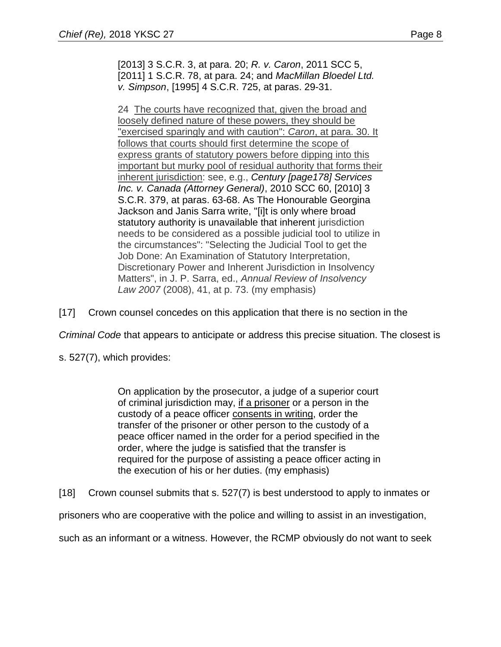[\[2013\] 3 S.C.R. 3,](https://advance.lexis.com/search/?pdmfid=1505209&crid=79bac913-7dec-422b-ba2a-ac5761dd525e&pdsearchterms=2016+SCC+42&pdicsfeatureid=1517129&pdstartin=hlct%3A1%3A11&pdtypeofsearch=searchboxclick&pdsearchtype=SearchBox&pdqttype=and&pdsf=&pdquerytemplateid=urn%3Aquerytemplate%3A0153d253286523974b56391686dcfd8e~%5ELaw%2520Reviews%2520%2526%2520Journals&pdsourcetype=all&pdparentqt=urn%3Aquerytemplate%3A0153d253286523974b56391686dcfd8e~%5ELaw+Reviews+%26+Journals&ecomp=44gtkkk&earg=pdsf&prid=59ce015c-f8b0-4f06-925a-a204cb28b19a) at para. 20; *R. v. Caron*, [2011 SCC 5,](https://advance.lexis.com/search/?pdmfid=1505209&crid=79bac913-7dec-422b-ba2a-ac5761dd525e&pdsearchterms=2016+SCC+42&pdicsfeatureid=1517129&pdstartin=hlct%3A1%3A11&pdtypeofsearch=searchboxclick&pdsearchtype=SearchBox&pdqttype=and&pdsf=&pdquerytemplateid=urn%3Aquerytemplate%3A0153d253286523974b56391686dcfd8e~%5ELaw%2520Reviews%2520%2526%2520Journals&pdsourcetype=all&pdparentqt=urn%3Aquerytemplate%3A0153d253286523974b56391686dcfd8e~%5ELaw+Reviews+%26+Journals&ecomp=44gtkkk&earg=pdsf&prid=59ce015c-f8b0-4f06-925a-a204cb28b19a) [\[2011\] 1 S.C.R. 78,](https://advance.lexis.com/search/?pdmfid=1505209&crid=79bac913-7dec-422b-ba2a-ac5761dd525e&pdsearchterms=2016+SCC+42&pdicsfeatureid=1517129&pdstartin=hlct%3A1%3A11&pdtypeofsearch=searchboxclick&pdsearchtype=SearchBox&pdqttype=and&pdsf=&pdquerytemplateid=urn%3Aquerytemplate%3A0153d253286523974b56391686dcfd8e~%5ELaw%2520Reviews%2520%2526%2520Journals&pdsourcetype=all&pdparentqt=urn%3Aquerytemplate%3A0153d253286523974b56391686dcfd8e~%5ELaw+Reviews+%26+Journals&ecomp=44gtkkk&earg=pdsf&prid=59ce015c-f8b0-4f06-925a-a204cb28b19a) at para. 24; and *MacMillan Bloedel Ltd. v. Simpson*, [\[1995\] 4 S.C.R. 725,](https://advance.lexis.com/search/?pdmfid=1505209&crid=79bac913-7dec-422b-ba2a-ac5761dd525e&pdsearchterms=2016+SCC+42&pdicsfeatureid=1517129&pdstartin=hlct%3A1%3A11&pdtypeofsearch=searchboxclick&pdsearchtype=SearchBox&pdqttype=and&pdsf=&pdquerytemplateid=urn%3Aquerytemplate%3A0153d253286523974b56391686dcfd8e~%5ELaw%2520Reviews%2520%2526%2520Journals&pdsourcetype=all&pdparentqt=urn%3Aquerytemplate%3A0153d253286523974b56391686dcfd8e~%5ELaw+Reviews+%26+Journals&ecomp=44gtkkk&earg=pdsf&prid=59ce015c-f8b0-4f06-925a-a204cb28b19a) at paras. 29-31.

24 The courts have recognized that, given the broad and loosely defined nature of these powers, they should be "exercised sparingly and with caution": *Caron*, at para. 30. It follows that courts should first determine the scope of express grants of statutory powers before dipping into this important but murky pool of residual authority that forms their inherent jurisdiction: see, e.g., *Century [page178] Services Inc. v. Canada (Attorney General)*, [2010 SCC 60, \[2010\] 3](https://advance.lexis.com/search/?pdmfid=1505209&crid=79bac913-7dec-422b-ba2a-ac5761dd525e&pdsearchterms=2016+SCC+42&pdicsfeatureid=1517129&pdstartin=hlct%3A1%3A11&pdtypeofsearch=searchboxclick&pdsearchtype=SearchBox&pdqttype=and&pdsf=&pdquerytemplateid=urn%3Aquerytemplate%3A0153d253286523974b56391686dcfd8e~%5ELaw%2520Reviews%2520%2526%2520Journals&pdsourcetype=all&pdparentqt=urn%3Aquerytemplate%3A0153d253286523974b56391686dcfd8e~%5ELaw+Reviews+%26+Journals&ecomp=44gtkkk&earg=pdsf&prid=59ce015c-f8b0-4f06-925a-a204cb28b19a)  [S.C.R. 379,](https://advance.lexis.com/search/?pdmfid=1505209&crid=79bac913-7dec-422b-ba2a-ac5761dd525e&pdsearchterms=2016+SCC+42&pdicsfeatureid=1517129&pdstartin=hlct%3A1%3A11&pdtypeofsearch=searchboxclick&pdsearchtype=SearchBox&pdqttype=and&pdsf=&pdquerytemplateid=urn%3Aquerytemplate%3A0153d253286523974b56391686dcfd8e~%5ELaw%2520Reviews%2520%2526%2520Journals&pdsourcetype=all&pdparentqt=urn%3Aquerytemplate%3A0153d253286523974b56391686dcfd8e~%5ELaw+Reviews+%26+Journals&ecomp=44gtkkk&earg=pdsf&prid=59ce015c-f8b0-4f06-925a-a204cb28b19a) at paras. 63-68. As The Honourable Georgina Jackson and Janis Sarra write, "[i]t is only where broad statutory authority is unavailable that inherent jurisdiction needs to be considered as a possible judicial tool to utilize in the circumstances": "Selecting the Judicial Tool to get the Job Done: An Examination of Statutory Interpretation, Discretionary Power and Inherent Jurisdiction in Insolvency Matters", in J. P. Sarra, ed., *Annual Review of Insolvency Law 2007* (2008), 41, at p. 73. (my emphasis)

[17] Crown counsel concedes on this application that there is no section in the

*Criminal Code* that appears to anticipate or address this precise situation. The closest is

s. 527(7), which provides:

On application by the prosecutor, a judge of a superior court of criminal jurisdiction may, if a prisoner or a person in the custody of a peace officer consents in writing, order the transfer of the prisoner or other person to the custody of a peace officer named in the order for a period specified in the order, where the judge is satisfied that the transfer is required for the purpose of assisting a peace officer acting in the execution of his or her duties. (my emphasis)

[18] Crown counsel submits that s. 527(7) is best understood to apply to inmates or

prisoners who are cooperative with the police and willing to assist in an investigation,

such as an informant or a witness. However, the RCMP obviously do not want to seek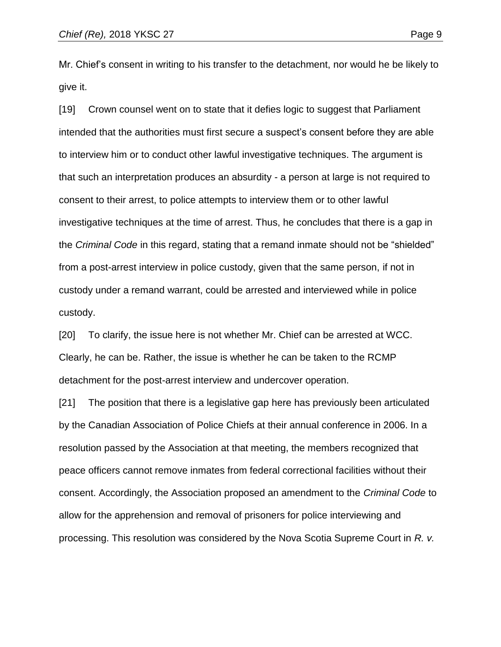Mr. Chief's consent in writing to his transfer to the detachment, nor would he be likely to give it.

[19] Crown counsel went on to state that it defies logic to suggest that Parliament intended that the authorities must first secure a suspect's consent before they are able to interview him or to conduct other lawful investigative techniques. The argument is that such an interpretation produces an absurdity - a person at large is not required to consent to their arrest, to police attempts to interview them or to other lawful investigative techniques at the time of arrest. Thus, he concludes that there is a gap in the *Criminal Code* in this regard, stating that a remand inmate should not be "shielded" from a post-arrest interview in police custody, given that the same person, if not in custody under a remand warrant, could be arrested and interviewed while in police custody.

[20] To clarify, the issue here is not whether Mr. Chief can be arrested at WCC. Clearly, he can be. Rather, the issue is whether he can be taken to the RCMP detachment for the post-arrest interview and undercover operation.

[21] The position that there is a legislative gap here has previously been articulated by the Canadian Association of Police Chiefs at their annual conference in 2006. In a resolution passed by the Association at that meeting, the members recognized that peace officers cannot remove inmates from federal correctional facilities without their consent. Accordingly, the Association proposed an amendment to the *Criminal Code* to allow for the apprehension and removal of prisoners for police interviewing and processing. This resolution was considered by the Nova Scotia Supreme Court in *R. v.*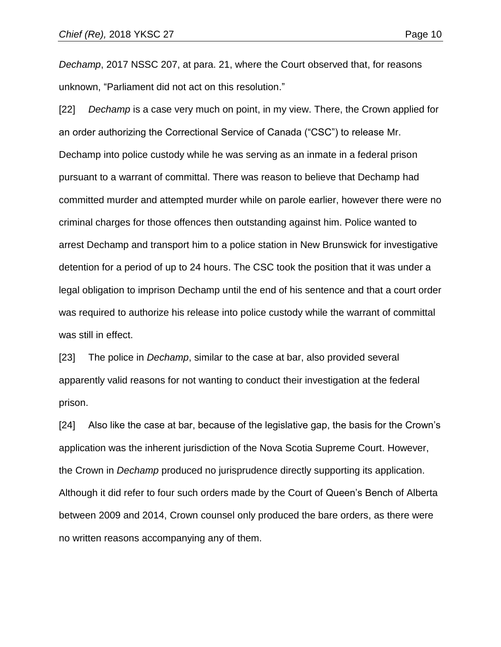*Dechamp*, 2017 NSSC 207, at para. 21, where the Court observed that, for reasons unknown, "Parliament did not act on this resolution."

[22] *Dechamp* is a case very much on point, in my view. There, the Crown applied for an order authorizing the Correctional Service of Canada ("CSC") to release Mr. Dechamp into police custody while he was serving as an inmate in a federal prison pursuant to a warrant of committal. There was reason to believe that Dechamp had committed murder and attempted murder while on parole earlier, however there were no criminal charges for those offences then outstanding against him. Police wanted to arrest Dechamp and transport him to a police station in New Brunswick for investigative detention for a period of up to 24 hours. The CSC took the position that it was under a legal obligation to imprison Dechamp until the end of his sentence and that a court order was required to authorize his release into police custody while the warrant of committal was still in effect.

[23] The police in *Dechamp*, similar to the case at bar, also provided several apparently valid reasons for not wanting to conduct their investigation at the federal prison.

[24] Also like the case at bar, because of the legislative gap, the basis for the Crown's application was the inherent jurisdiction of the Nova Scotia Supreme Court. However, the Crown in *Dechamp* produced no jurisprudence directly supporting its application. Although it did refer to four such orders made by the Court of Queen's Bench of Alberta between 2009 and 2014, Crown counsel only produced the bare orders, as there were no written reasons accompanying any of them.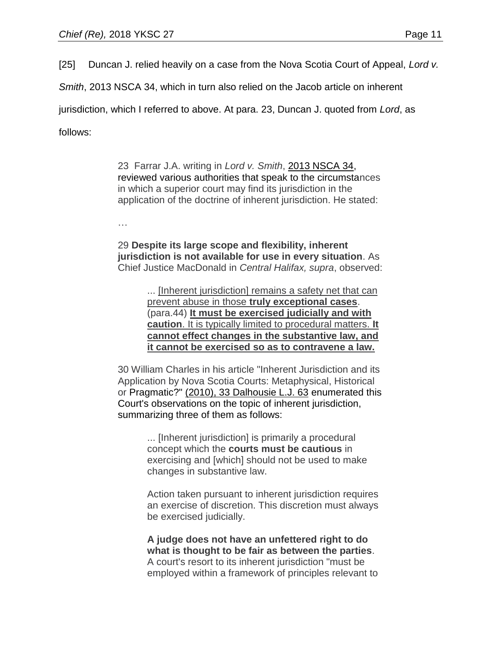[25] Duncan J. relied heavily on a case from the Nova Scotia Court of Appeal, *Lord v.* 

*Smith*, 2013 NSCA 34, which in turn also relied on the Jacob article on inherent

jurisdiction, which I referred to above. At para. 23, Duncan J. quoted from *Lord*, as

follows:

23 Farrar J.A. writing in *Lord v. Smith*, [2013 NSCA 34,](https://advance.lexis.com/search/?pdmfid=1505209&crid=448f7ec9-9eaa-42d0-a37b-49fb3c45d95d&pdsearchterms=2017nssc207&pdicsfeatureid=1517129&pdstartin=hlct%3A1%3A11&pdtypeofsearch=searchboxclick&pdsearchtype=SearchBox&pdqttype=and&pdpsf=%3A%3A1&ecomp=44gt9kk&earg=pdpsf&prid=c47e603d-5e86-4230-a5bb-8fb62ae1abd1) reviewed various authorities that speak to the circumstances in which a superior court may find its jurisdiction in the application of the doctrine of inherent jurisdiction. He stated:

…

29 **Despite its large scope and flexibility, inherent jurisdiction is not available for use in every situation**. As Chief Justice MacDonald in *Central Halifax, supra*, observed:

> ... [Inherent jurisdiction] remains a safety net that can prevent abuse in those **truly exceptional cases**. (para.44) **It must be exercised judicially and with caution**. It is typically limited to procedural matters. **It cannot effect changes in the substantive law, and it cannot be exercised so as to contravene a law.**

30 William Charles in his article "Inherent Jurisdiction and its Application by Nova Scotia Courts: Metaphysical, Historical or Pragmatic?" [\(2010\), 33 Dalhousie L.J. 63](https://advance.lexis.com/search/?pdmfid=1505209&crid=448f7ec9-9eaa-42d0-a37b-49fb3c45d95d&pdsearchterms=2017nssc207&pdicsfeatureid=1517129&pdstartin=hlct%3A1%3A11&pdtypeofsearch=searchboxclick&pdsearchtype=SearchBox&pdqttype=and&pdpsf=%3A%3A1&ecomp=44gt9kk&earg=pdpsf&prid=c47e603d-5e86-4230-a5bb-8fb62ae1abd1) enumerated this Court's observations on the topic of inherent jurisdiction, summarizing three of them as follows:

> ... [Inherent jurisdiction] is primarily a procedural concept which the **courts must be cautious** in exercising and [which] should not be used to make changes in substantive law.

Action taken pursuant to inherent jurisdiction requires an exercise of discretion. This discretion must always be exercised judicially.

**A judge does not have an unfettered right to do what is thought to be fair as between the parties**. A court's resort to its inherent jurisdiction "must be employed within a framework of principles relevant to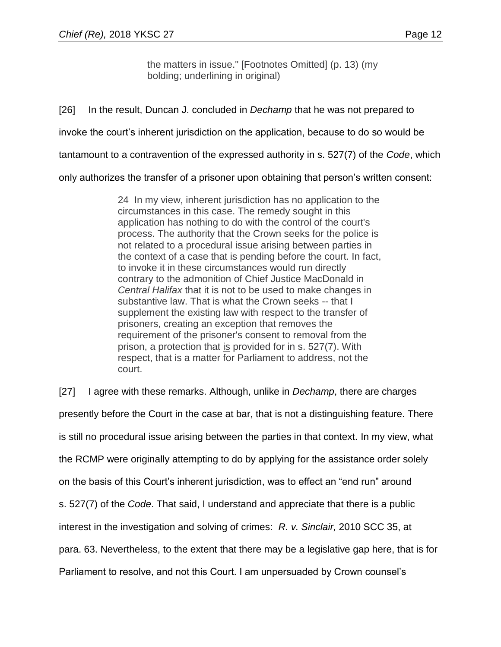the matters in issue." [Footnotes Omitted] (p. 13) (my bolding; underlining in original)

[26] In the result, Duncan J. concluded in *Dechamp* that he was not prepared to invoke the court's inherent jurisdiction on the application, because to do so would be tantamount to a contravention of the expressed authority in s. 527(7) of the *Code*, which

only authorizes the transfer of a prisoner upon obtaining that person's written consent:

24 In my view, inherent jurisdiction has no application to the circumstances in this case. The remedy sought in this application has nothing to do with the control of the court's process. The authority that the Crown seeks for the police is not related to a procedural issue arising between parties in the context of a case that is pending before the court. In fact, to invoke it in these circumstances would run directly contrary to the admonition of Chief Justice MacDonald in *Central Halifax* that it is not to be used to make changes in substantive law. That is what the Crown seeks -- that I supplement the existing law with respect to the transfer of prisoners, creating an exception that removes the requirement of the prisoner's consent to removal from the prison, a protection that is provided for in s. 527(7). With respect, that is a matter for Parliament to address, not the court.

[27] I agree with these remarks. Although, unlike in *Dechamp*, there are charges presently before the Court in the case at bar, that is not a distinguishing feature. There is still no procedural issue arising between the parties in that context. In my view, what the RCMP were originally attempting to do by applying for the assistance order solely on the basis of this Court's inherent jurisdiction, was to effect an "end run" around s. 527(7) of the *Code*. That said, I understand and appreciate that there is a public interest in the investigation and solving of crimes: *R. v. Sinclair,* 2010 SCC 35, at para. 63. Nevertheless, to the extent that there may be a legislative gap here, that is for Parliament to resolve, and not this Court. I am unpersuaded by Crown counsel's